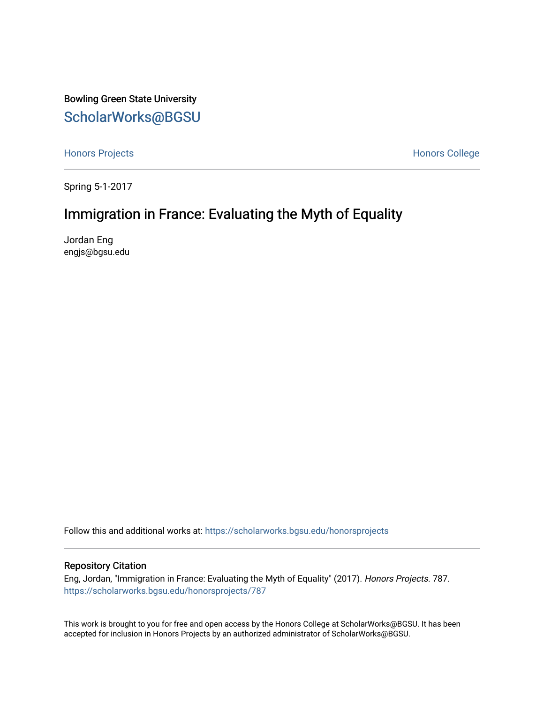Bowling Green State University [ScholarWorks@BGSU](https://scholarworks.bgsu.edu/) 

[Honors Projects](https://scholarworks.bgsu.edu/honorsprojects) **Honors** College

Spring 5-1-2017

## Immigration in France: Evaluating the Myth of Equality

Jordan Eng engjs@bgsu.edu

Follow this and additional works at: [https://scholarworks.bgsu.edu/honorsprojects](https://scholarworks.bgsu.edu/honorsprojects?utm_source=scholarworks.bgsu.edu%2Fhonorsprojects%2F787&utm_medium=PDF&utm_campaign=PDFCoverPages) 

## Repository Citation

Eng, Jordan, "Immigration in France: Evaluating the Myth of Equality" (2017). Honors Projects. 787. [https://scholarworks.bgsu.edu/honorsprojects/787](https://scholarworks.bgsu.edu/honorsprojects/787?utm_source=scholarworks.bgsu.edu%2Fhonorsprojects%2F787&utm_medium=PDF&utm_campaign=PDFCoverPages) 

This work is brought to you for free and open access by the Honors College at ScholarWorks@BGSU. It has been accepted for inclusion in Honors Projects by an authorized administrator of ScholarWorks@BGSU.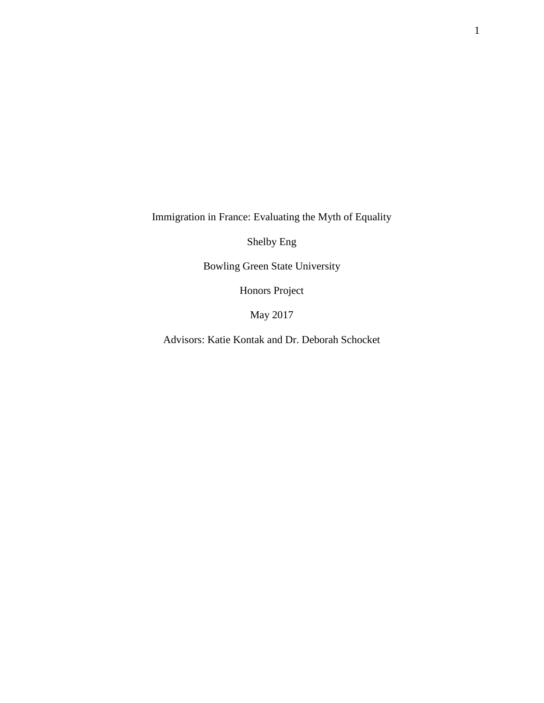Immigration in France: Evaluating the Myth of Equality

Shelby Eng

Bowling Green State University

Honors Project

May 2017

Advisors: Katie Kontak and Dr. Deborah Schocket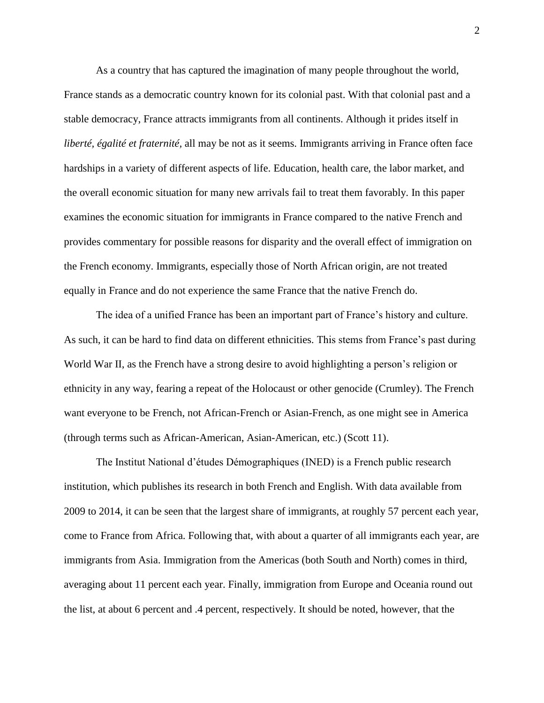As a country that has captured the imagination of many people throughout the world, France stands as a democratic country known for its colonial past. With that colonial past and a stable democracy, France attracts immigrants from all continents. Although it prides itself in *liberté, égalité et fraternité,* all may be not as it seems. Immigrants arriving in France often face hardships in a variety of different aspects of life. Education, health care, the labor market, and the overall economic situation for many new arrivals fail to treat them favorably. In this paper examines the economic situation for immigrants in France compared to the native French and provides commentary for possible reasons for disparity and the overall effect of immigration on the French economy. Immigrants, especially those of North African origin, are not treated equally in France and do not experience the same France that the native French do.

The idea of a unified France has been an important part of France's history and culture. As such, it can be hard to find data on different ethnicities. This stems from France's past during World War II, as the French have a strong desire to avoid highlighting a person's religion or ethnicity in any way, fearing a repeat of the Holocaust or other genocide (Crumley). The French want everyone to be French, not African-French or Asian-French, as one might see in America (through terms such as African-American, Asian-American, etc.) (Scott 11).

The Institut National d'études Démographiques (INED) is a French public research institution, which publishes its research in both French and English. With data available from 2009 to 2014, it can be seen that the largest share of immigrants, at roughly 57 percent each year, come to France from Africa. Following that, with about a quarter of all immigrants each year, are immigrants from Asia. Immigration from the Americas (both South and North) comes in third, averaging about 11 percent each year. Finally, immigration from Europe and Oceania round out the list, at about 6 percent and .4 percent, respectively. It should be noted, however, that the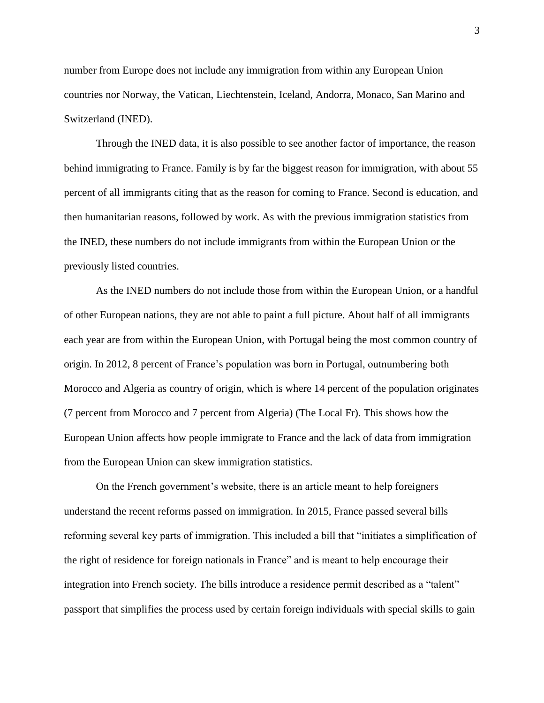number from Europe does not include any immigration from within any European Union countries nor Norway, the Vatican, Liechtenstein, Iceland, Andorra, Monaco, San Marino and Switzerland (INED).

Through the INED data, it is also possible to see another factor of importance, the reason behind immigrating to France. Family is by far the biggest reason for immigration, with about 55 percent of all immigrants citing that as the reason for coming to France. Second is education, and then humanitarian reasons, followed by work. As with the previous immigration statistics from the INED, these numbers do not include immigrants from within the European Union or the previously listed countries.

As the INED numbers do not include those from within the European Union, or a handful of other European nations, they are not able to paint a full picture. About half of all immigrants each year are from within the European Union, with Portugal being the most common country of origin. In 2012, 8 percent of France's population was born in Portugal, outnumbering both Morocco and Algeria as country of origin, which is where 14 percent of the population originates (7 percent from Morocco and 7 percent from Algeria) (The Local Fr). This shows how the European Union affects how people immigrate to France and the lack of data from immigration from the European Union can skew immigration statistics.

On the French government's website, there is an article meant to help foreigners understand the recent reforms passed on immigration. In 2015, France passed several bills reforming several key parts of immigration. This included a bill that "initiates a simplification of the right of residence for foreign nationals in France" and is meant to help encourage their integration into French society. The bills introduce a residence permit described as a "talent" passport that simplifies the process used by certain foreign individuals with special skills to gain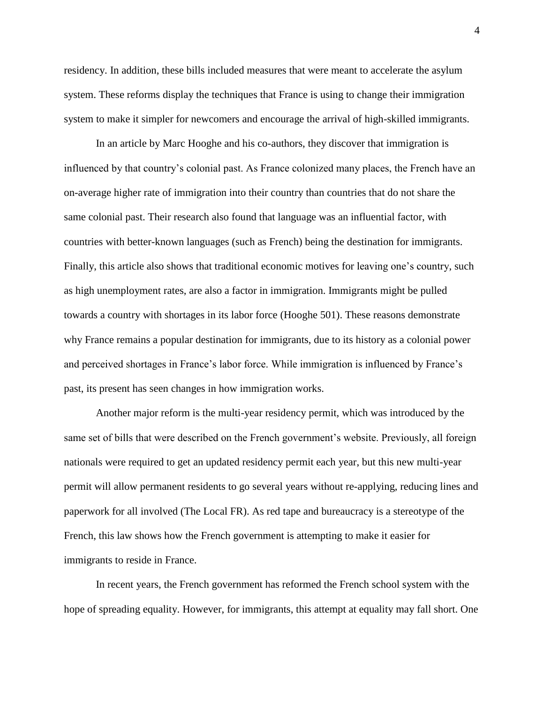residency. In addition, these bills included measures that were meant to accelerate the asylum system. These reforms display the techniques that France is using to change their immigration system to make it simpler for newcomers and encourage the arrival of high-skilled immigrants.

In an article by Marc Hooghe and his co-authors, they discover that immigration is influenced by that country's colonial past. As France colonized many places, the French have an on-average higher rate of immigration into their country than countries that do not share the same colonial past. Their research also found that language was an influential factor, with countries with better-known languages (such as French) being the destination for immigrants. Finally, this article also shows that traditional economic motives for leaving one's country, such as high unemployment rates, are also a factor in immigration. Immigrants might be pulled towards a country with shortages in its labor force (Hooghe 501). These reasons demonstrate why France remains a popular destination for immigrants, due to its history as a colonial power and perceived shortages in France's labor force. While immigration is influenced by France's past, its present has seen changes in how immigration works.

Another major reform is the multi-year residency permit, which was introduced by the same set of bills that were described on the French government's website. Previously, all foreign nationals were required to get an updated residency permit each year, but this new multi-year permit will allow permanent residents to go several years without re-applying, reducing lines and paperwork for all involved (The Local FR). As red tape and bureaucracy is a stereotype of the French, this law shows how the French government is attempting to make it easier for immigrants to reside in France.

In recent years, the French government has reformed the French school system with the hope of spreading equality. However, for immigrants, this attempt at equality may fall short. One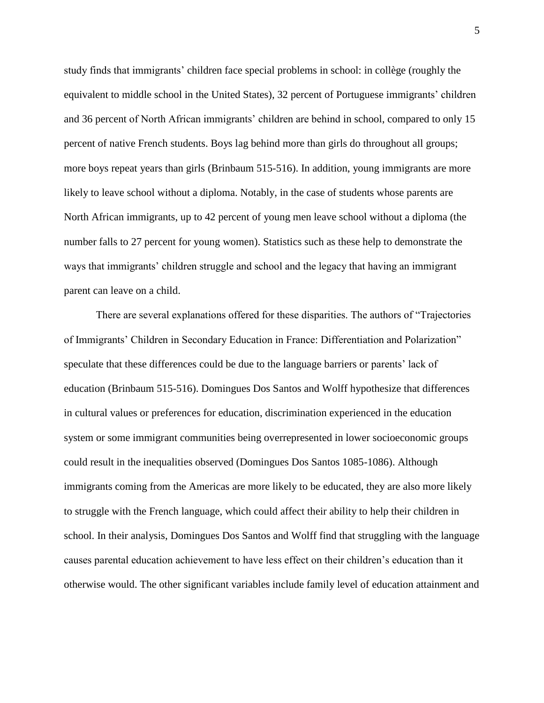study finds that immigrants' children face special problems in school: in collège (roughly the equivalent to middle school in the United States), 32 percent of Portuguese immigrants' children and 36 percent of North African immigrants' children are behind in school, compared to only 15 percent of native French students. Boys lag behind more than girls do throughout all groups; more boys repeat years than girls (Brinbaum 515-516). In addition, young immigrants are more likely to leave school without a diploma. Notably, in the case of students whose parents are North African immigrants, up to 42 percent of young men leave school without a diploma (the number falls to 27 percent for young women). Statistics such as these help to demonstrate the ways that immigrants' children struggle and school and the legacy that having an immigrant parent can leave on a child.

There are several explanations offered for these disparities. The authors of "Trajectories of Immigrants' Children in Secondary Education in France: Differentiation and Polarization" speculate that these differences could be due to the language barriers or parents' lack of education (Brinbaum 515-516). Domingues Dos Santos and Wolff hypothesize that differences in cultural values or preferences for education, discrimination experienced in the education system or some immigrant communities being overrepresented in lower socioeconomic groups could result in the inequalities observed (Domingues Dos Santos 1085-1086). Although immigrants coming from the Americas are more likely to be educated, they are also more likely to struggle with the French language, which could affect their ability to help their children in school. In their analysis, Domingues Dos Santos and Wolff find that struggling with the language causes parental education achievement to have less effect on their children's education than it otherwise would. The other significant variables include family level of education attainment and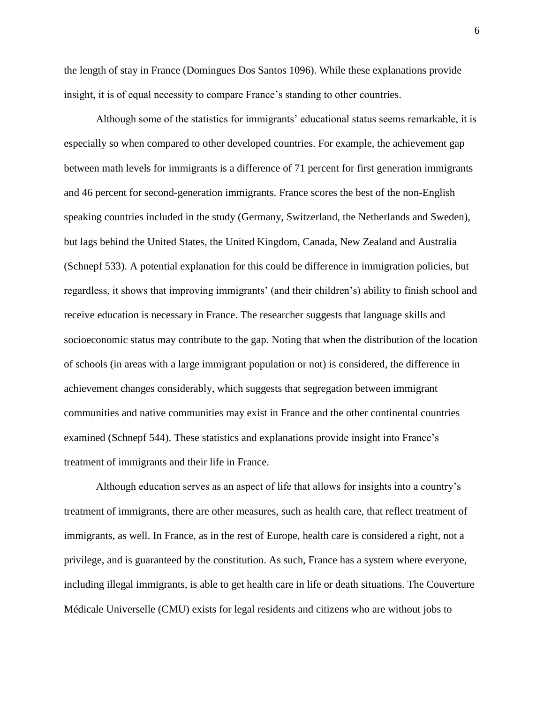the length of stay in France (Domingues Dos Santos 1096). While these explanations provide insight, it is of equal necessity to compare France's standing to other countries.

Although some of the statistics for immigrants' educational status seems remarkable, it is especially so when compared to other developed countries. For example, the achievement gap between math levels for immigrants is a difference of 71 percent for first generation immigrants and 46 percent for second-generation immigrants. France scores the best of the non-English speaking countries included in the study (Germany, Switzerland, the Netherlands and Sweden), but lags behind the United States, the United Kingdom, Canada, New Zealand and Australia (Schnepf 533). A potential explanation for this could be difference in immigration policies, but regardless, it shows that improving immigrants' (and their children's) ability to finish school and receive education is necessary in France. The researcher suggests that language skills and socioeconomic status may contribute to the gap. Noting that when the distribution of the location of schools (in areas with a large immigrant population or not) is considered, the difference in achievement changes considerably, which suggests that segregation between immigrant communities and native communities may exist in France and the other continental countries examined (Schnepf 544). These statistics and explanations provide insight into France's treatment of immigrants and their life in France.

Although education serves as an aspect of life that allows for insights into a country's treatment of immigrants, there are other measures, such as health care, that reflect treatment of immigrants, as well. In France, as in the rest of Europe, health care is considered a right, not a privilege, and is guaranteed by the constitution. As such, France has a system where everyone, including illegal immigrants, is able to get health care in life or death situations. The Couverture Médicale Universelle (CMU) exists for legal residents and citizens who are without jobs to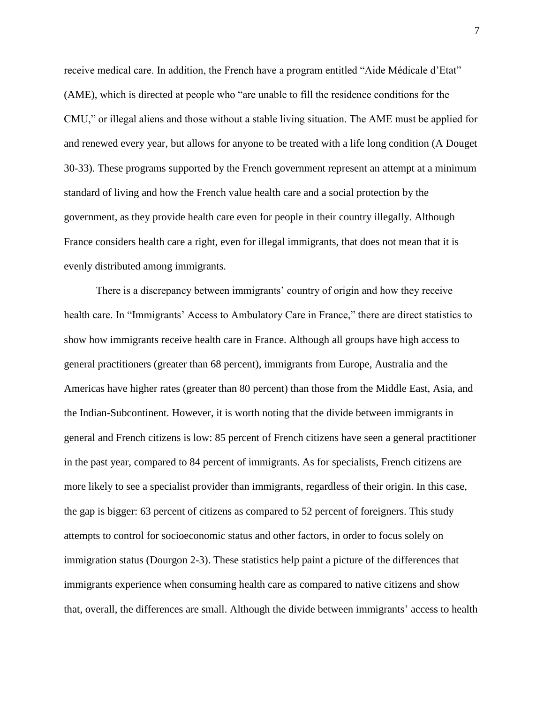receive medical care. In addition, the French have a program entitled "Aide Médicale d'Etat" (AME), which is directed at people who "are unable to fill the residence conditions for the CMU," or illegal aliens and those without a stable living situation. The AME must be applied for and renewed every year, but allows for anyone to be treated with a life long condition (A Douget 30-33). These programs supported by the French government represent an attempt at a minimum standard of living and how the French value health care and a social protection by the government, as they provide health care even for people in their country illegally. Although France considers health care a right, even for illegal immigrants, that does not mean that it is evenly distributed among immigrants.

There is a discrepancy between immigrants' country of origin and how they receive health care. In "Immigrants' Access to Ambulatory Care in France," there are direct statistics to show how immigrants receive health care in France. Although all groups have high access to general practitioners (greater than 68 percent), immigrants from Europe, Australia and the Americas have higher rates (greater than 80 percent) than those from the Middle East, Asia, and the Indian-Subcontinent. However, it is worth noting that the divide between immigrants in general and French citizens is low: 85 percent of French citizens have seen a general practitioner in the past year, compared to 84 percent of immigrants. As for specialists, French citizens are more likely to see a specialist provider than immigrants, regardless of their origin. In this case, the gap is bigger: 63 percent of citizens as compared to 52 percent of foreigners. This study attempts to control for socioeconomic status and other factors, in order to focus solely on immigration status (Dourgon 2-3). These statistics help paint a picture of the differences that immigrants experience when consuming health care as compared to native citizens and show that, overall, the differences are small. Although the divide between immigrants' access to health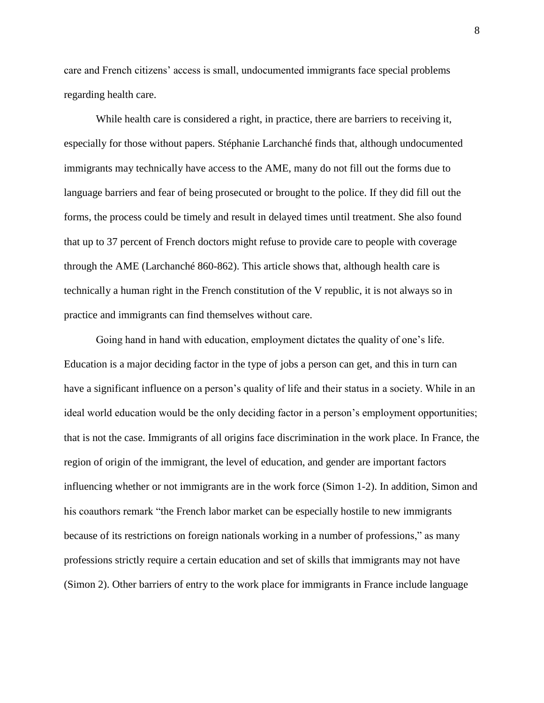care and French citizens' access is small, undocumented immigrants face special problems regarding health care.

While health care is considered a right, in practice, there are barriers to receiving it, especially for those without papers. Stéphanie Larchanché finds that, although undocumented immigrants may technically have access to the AME, many do not fill out the forms due to language barriers and fear of being prosecuted or brought to the police. If they did fill out the forms, the process could be timely and result in delayed times until treatment. She also found that up to 37 percent of French doctors might refuse to provide care to people with coverage through the AME (Larchanché 860-862). This article shows that, although health care is technically a human right in the French constitution of the V republic, it is not always so in practice and immigrants can find themselves without care.

Going hand in hand with education, employment dictates the quality of one's life. Education is a major deciding factor in the type of jobs a person can get, and this in turn can have a significant influence on a person's quality of life and their status in a society. While in an ideal world education would be the only deciding factor in a person's employment opportunities; that is not the case. Immigrants of all origins face discrimination in the work place. In France, the region of origin of the immigrant, the level of education, and gender are important factors influencing whether or not immigrants are in the work force (Simon 1-2). In addition, Simon and his coauthors remark "the French labor market can be especially hostile to new immigrants because of its restrictions on foreign nationals working in a number of professions," as many professions strictly require a certain education and set of skills that immigrants may not have (Simon 2). Other barriers of entry to the work place for immigrants in France include language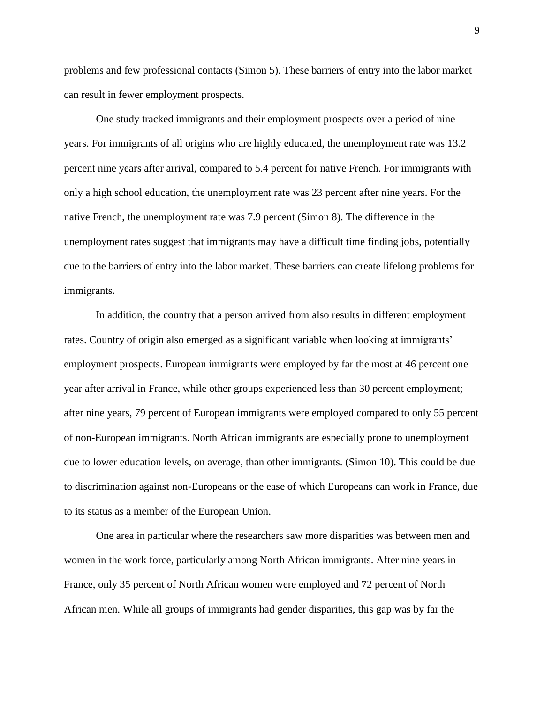problems and few professional contacts (Simon 5). These barriers of entry into the labor market can result in fewer employment prospects.

One study tracked immigrants and their employment prospects over a period of nine years. For immigrants of all origins who are highly educated, the unemployment rate was 13.2 percent nine years after arrival, compared to 5.4 percent for native French. For immigrants with only a high school education, the unemployment rate was 23 percent after nine years. For the native French, the unemployment rate was 7.9 percent (Simon 8). The difference in the unemployment rates suggest that immigrants may have a difficult time finding jobs, potentially due to the barriers of entry into the labor market. These barriers can create lifelong problems for immigrants.

In addition, the country that a person arrived from also results in different employment rates. Country of origin also emerged as a significant variable when looking at immigrants' employment prospects. European immigrants were employed by far the most at 46 percent one year after arrival in France, while other groups experienced less than 30 percent employment; after nine years, 79 percent of European immigrants were employed compared to only 55 percent of non-European immigrants. North African immigrants are especially prone to unemployment due to lower education levels, on average, than other immigrants. (Simon 10). This could be due to discrimination against non-Europeans or the ease of which Europeans can work in France, due to its status as a member of the European Union.

One area in particular where the researchers saw more disparities was between men and women in the work force, particularly among North African immigrants. After nine years in France, only 35 percent of North African women were employed and 72 percent of North African men. While all groups of immigrants had gender disparities, this gap was by far the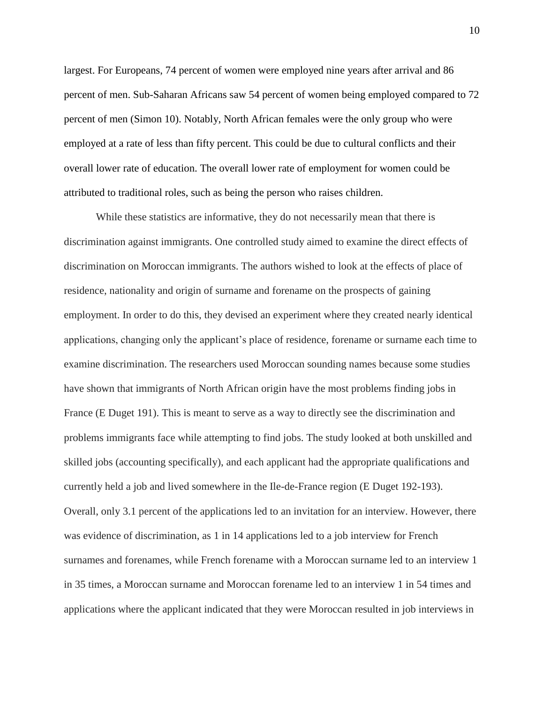largest. For Europeans, 74 percent of women were employed nine years after arrival and 86 percent of men. Sub-Saharan Africans saw 54 percent of women being employed compared to 72 percent of men (Simon 10). Notably, North African females were the only group who were employed at a rate of less than fifty percent. This could be due to cultural conflicts and their overall lower rate of education. The overall lower rate of employment for women could be attributed to traditional roles, such as being the person who raises children.

While these statistics are informative, they do not necessarily mean that there is discrimination against immigrants. One controlled study aimed to examine the direct effects of discrimination on Moroccan immigrants. The authors wished to look at the effects of place of residence, nationality and origin of surname and forename on the prospects of gaining employment. In order to do this, they devised an experiment where they created nearly identical applications, changing only the applicant's place of residence, forename or surname each time to examine discrimination. The researchers used Moroccan sounding names because some studies have shown that immigrants of North African origin have the most problems finding jobs in France (E Duget 191). This is meant to serve as a way to directly see the discrimination and problems immigrants face while attempting to find jobs. The study looked at both unskilled and skilled jobs (accounting specifically), and each applicant had the appropriate qualifications and currently held a job and lived somewhere in the Ile-de-France region (E Duget 192-193). Overall, only 3.1 percent of the applications led to an invitation for an interview. However, there was evidence of discrimination, as 1 in 14 applications led to a job interview for French surnames and forenames, while French forename with a Moroccan surname led to an interview 1 in 35 times, a Moroccan surname and Moroccan forename led to an interview 1 in 54 times and applications where the applicant indicated that they were Moroccan resulted in job interviews in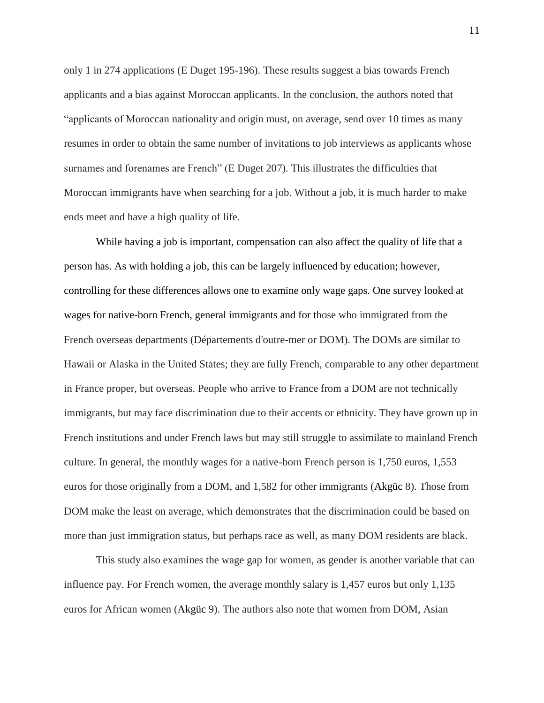only 1 in 274 applications (E Duget 195-196). These results suggest a bias towards French applicants and a bias against Moroccan applicants. In the conclusion, the authors noted that "applicants of Moroccan nationality and origin must, on average, send over 10 times as many resumes in order to obtain the same number of invitations to job interviews as applicants whose surnames and forenames are French" (E Duget 207). This illustrates the difficulties that Moroccan immigrants have when searching for a job. Without a job, it is much harder to make ends meet and have a high quality of life.

While having a job is important, compensation can also affect the quality of life that a person has. As with holding a job, this can be largely influenced by education; however, controlling for these differences allows one to examine only wage gaps. One survey looked at wages for native-born French, general immigrants and for those who immigrated from the French overseas departments (Départements d'outre-mer or DOM). The DOMs are similar to Hawaii or Alaska in the United States; they are fully French, comparable to any other department in France proper, but overseas. People who arrive to France from a DOM are not technically immigrants, but may face discrimination due to their accents or ethnicity. They have grown up in French institutions and under French laws but may still struggle to assimilate to mainland French culture. In general, the monthly wages for a native-born French person is 1,750 euros, 1,553 euros for those originally from a DOM, and 1,582 for other immigrants (Akgüc 8). Those from DOM make the least on average, which demonstrates that the discrimination could be based on more than just immigration status, but perhaps race as well, as many DOM residents are black.

This study also examines the wage gap for women, as gender is another variable that can influence pay. For French women, the average monthly salary is 1,457 euros but only 1,135 euros for African women (Akgüc 9). The authors also note that women from DOM, Asian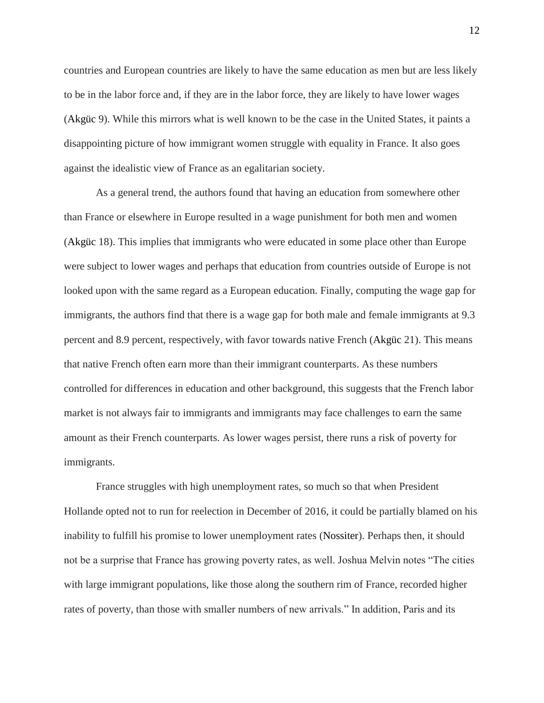countries and European countries are likely to have the same education as men but are less likely to be in the labor force and, if they are in the labor force, they are likely to have lower wages (Akgüc 9). While this mirrors what is well known to be the case in the United States, it paints a disappointing picture of how immigrant women struggle with equality in France. It also goes against the idealistic view of France as an egalitarian society.

As a general trend, the authors found that having an education from somewhere other than France or elsewhere in Europe resulted in a wage punishment for both men and women (Akgüc 18). This implies that immigrants who were educated in some place other than Europe were subject to lower wages and perhaps that education from countries outside of Europe is not looked upon with the same regard as a European education. Finally, computing the wage gap for immigrants, the authors find that there is a wage gap for both male and female immigrants at 9.3 percent and 8.9 percent, respectively, with favor towards native French (Akgüc 21). This means that native French often earn more than their immigrant counterparts. As these numbers controlled for differences in education and other background, this suggests that the French labor market is not always fair to immigrants and immigrants may face challenges to earn the same amount as their French counterparts. As lower wages persist, there runs a risk of poverty for immigrants.

France struggles with high unemployment rates, so much so that when President Hollande opted not to run for reelection in December of 2016, it could be partially blamed on his inability to fulfill his promise to lower unemployment rates (Nossiter). Perhaps then, it should not be a surprise that France has growing poverty rates, as well. Joshua Melvin notes "The cities with large immigrant populations, like those along the southern rim of France, recorded higher rates of poverty, than those with smaller numbers of new arrivals." In addition, Paris and its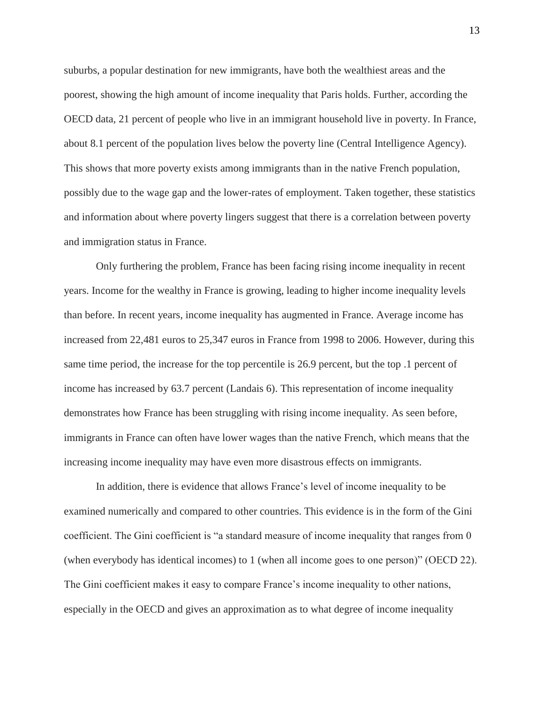suburbs, a popular destination for new immigrants, have both the wealthiest areas and the poorest, showing the high amount of income inequality that Paris holds. Further, according the OECD data, 21 percent of people who live in an immigrant household live in poverty. In France, about 8.1 percent of the population lives below the poverty line (Central Intelligence Agency). This shows that more poverty exists among immigrants than in the native French population, possibly due to the wage gap and the lower-rates of employment. Taken together, these statistics and information about where poverty lingers suggest that there is a correlation between poverty and immigration status in France.

Only furthering the problem, France has been facing rising income inequality in recent years. Income for the wealthy in France is growing, leading to higher income inequality levels than before. In recent years, income inequality has augmented in France. Average income has increased from 22,481 euros to 25,347 euros in France from 1998 to 2006. However, during this same time period, the increase for the top percentile is 26.9 percent, but the top .1 percent of income has increased by 63.7 percent (Landais 6). This representation of income inequality demonstrates how France has been struggling with rising income inequality. As seen before, immigrants in France can often have lower wages than the native French, which means that the increasing income inequality may have even more disastrous effects on immigrants.

In addition, there is evidence that allows France's level of income inequality to be examined numerically and compared to other countries. This evidence is in the form of the Gini coefficient. The Gini coefficient is "a standard measure of income inequality that ranges from 0 (when everybody has identical incomes) to 1 (when all income goes to one person)" (OECD 22). The Gini coefficient makes it easy to compare France's income inequality to other nations, especially in the OECD and gives an approximation as to what degree of income inequality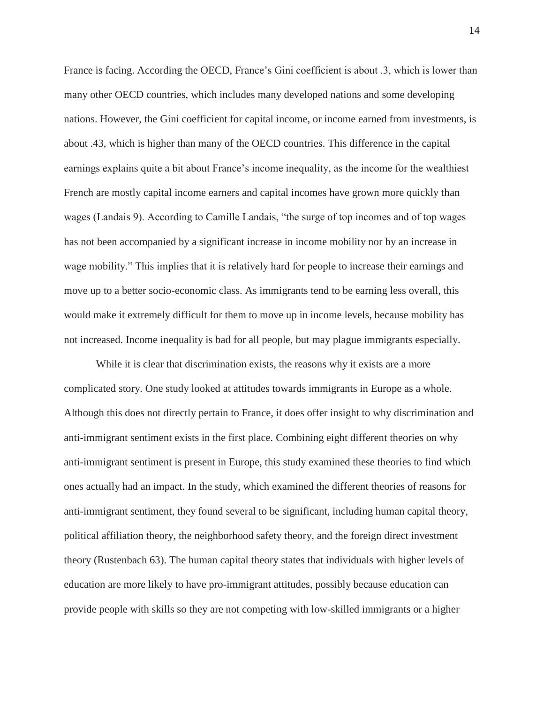France is facing. According the OECD, France's Gini coefficient is about .3, which is lower than many other OECD countries, which includes many developed nations and some developing nations. However, the Gini coefficient for capital income, or income earned from investments, is about .43, which is higher than many of the OECD countries. This difference in the capital earnings explains quite a bit about France's income inequality, as the income for the wealthiest French are mostly capital income earners and capital incomes have grown more quickly than wages (Landais 9). According to Camille Landais, "the surge of top incomes and of top wages has not been accompanied by a significant increase in income mobility nor by an increase in wage mobility." This implies that it is relatively hard for people to increase their earnings and move up to a better socio-economic class. As immigrants tend to be earning less overall, this would make it extremely difficult for them to move up in income levels, because mobility has not increased. Income inequality is bad for all people, but may plague immigrants especially.

While it is clear that discrimination exists, the reasons why it exists are a more complicated story. One study looked at attitudes towards immigrants in Europe as a whole. Although this does not directly pertain to France, it does offer insight to why discrimination and anti-immigrant sentiment exists in the first place. Combining eight different theories on why anti-immigrant sentiment is present in Europe, this study examined these theories to find which ones actually had an impact. In the study, which examined the different theories of reasons for anti-immigrant sentiment, they found several to be significant, including human capital theory, political affiliation theory, the neighborhood safety theory, and the foreign direct investment theory (Rustenbach 63). The human capital theory states that individuals with higher levels of education are more likely to have pro-immigrant attitudes, possibly because education can provide people with skills so they are not competing with low-skilled immigrants or a higher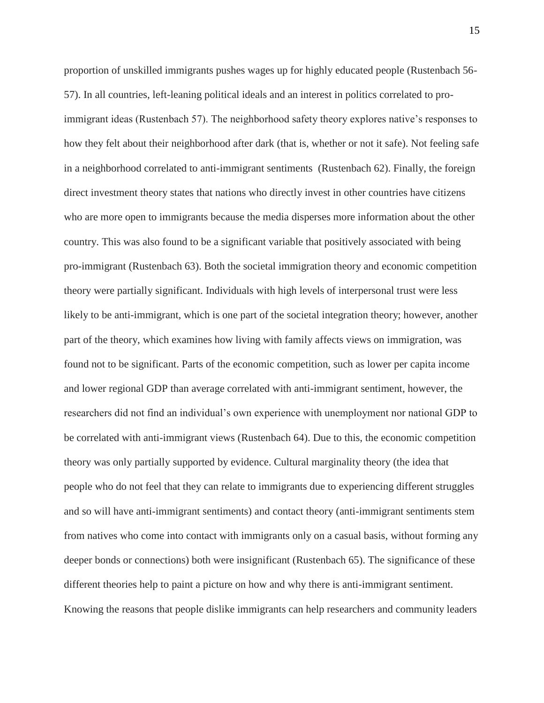proportion of unskilled immigrants pushes wages up for highly educated people (Rustenbach 56- 57). In all countries, left-leaning political ideals and an interest in politics correlated to proimmigrant ideas (Rustenbach 57). The neighborhood safety theory explores native's responses to how they felt about their neighborhood after dark (that is, whether or not it safe). Not feeling safe in a neighborhood correlated to anti-immigrant sentiments (Rustenbach 62). Finally, the foreign direct investment theory states that nations who directly invest in other countries have citizens who are more open to immigrants because the media disperses more information about the other country. This was also found to be a significant variable that positively associated with being pro-immigrant (Rustenbach 63). Both the societal immigration theory and economic competition theory were partially significant. Individuals with high levels of interpersonal trust were less likely to be anti-immigrant, which is one part of the societal integration theory; however, another part of the theory, which examines how living with family affects views on immigration, was found not to be significant. Parts of the economic competition, such as lower per capita income and lower regional GDP than average correlated with anti-immigrant sentiment, however, the researchers did not find an individual's own experience with unemployment nor national GDP to be correlated with anti-immigrant views (Rustenbach 64). Due to this, the economic competition theory was only partially supported by evidence. Cultural marginality theory (the idea that people who do not feel that they can relate to immigrants due to experiencing different struggles and so will have anti-immigrant sentiments) and contact theory (anti-immigrant sentiments stem from natives who come into contact with immigrants only on a casual basis, without forming any deeper bonds or connections) both were insignificant (Rustenbach 65). The significance of these different theories help to paint a picture on how and why there is anti-immigrant sentiment. Knowing the reasons that people dislike immigrants can help researchers and community leaders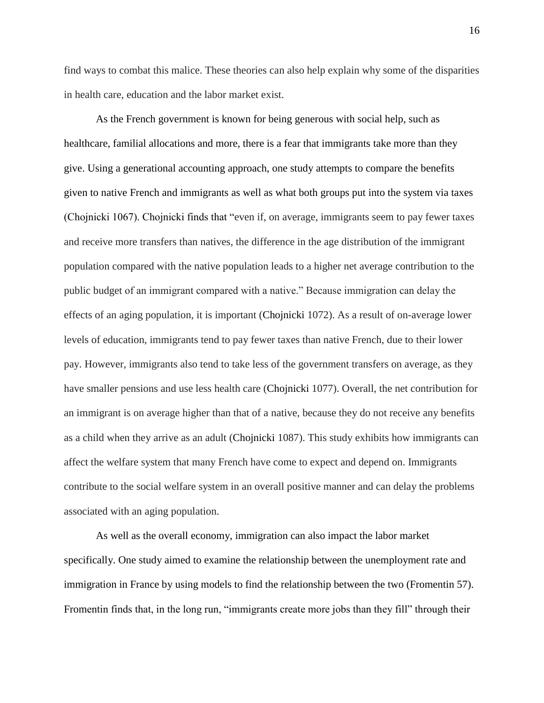find ways to combat this malice. These theories can also help explain why some of the disparities in health care, education and the labor market exist.

As the French government is known for being generous with social help, such as healthcare, familial allocations and more, there is a fear that immigrants take more than they give. Using a generational accounting approach, one study attempts to compare the benefits given to native French and immigrants as well as what both groups put into the system via taxes (Chojnicki 1067). Chojnicki finds that "even if, on average, immigrants seem to pay fewer taxes and receive more transfers than natives, the difference in the age distribution of the immigrant population compared with the native population leads to a higher net average contribution to the public budget of an immigrant compared with a native." Because immigration can delay the effects of an aging population, it is important (Chojnicki 1072). As a result of on-average lower levels of education, immigrants tend to pay fewer taxes than native French, due to their lower pay. However, immigrants also tend to take less of the government transfers on average, as they have smaller pensions and use less health care (Chojnicki 1077). Overall, the net contribution for an immigrant is on average higher than that of a native, because they do not receive any benefits as a child when they arrive as an adult (Chojnicki 1087). This study exhibits how immigrants can affect the welfare system that many French have come to expect and depend on. Immigrants contribute to the social welfare system in an overall positive manner and can delay the problems associated with an aging population.

As well as the overall economy, immigration can also impact the labor market specifically. One study aimed to examine the relationship between the unemployment rate and immigration in France by using models to find the relationship between the two (Fromentin 57). Fromentin finds that, in the long run, "immigrants create more jobs than they fill" through their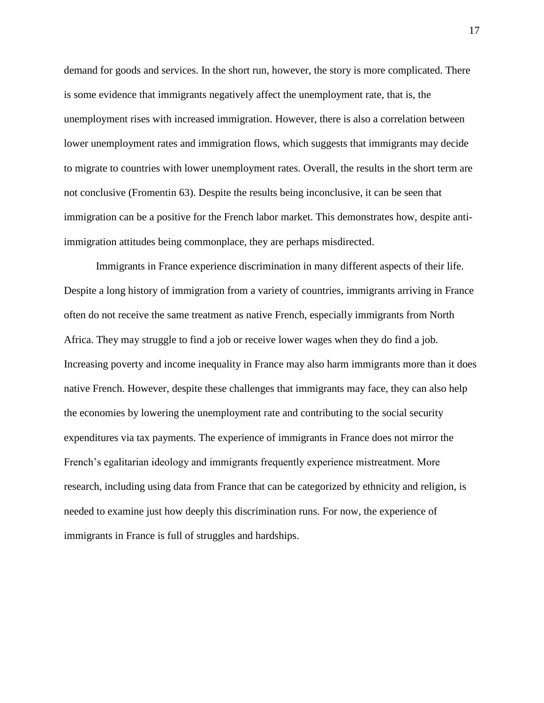demand for goods and services. In the short run, however, the story is more complicated. There is some evidence that immigrants negatively affect the unemployment rate, that is, the unemployment rises with increased immigration. However, there is also a correlation between lower unemployment rates and immigration flows, which suggests that immigrants may decide to migrate to countries with lower unemployment rates. Overall, the results in the short term are not conclusive (Fromentin 63). Despite the results being inconclusive, it can be seen that immigration can be a positive for the French labor market. This demonstrates how, despite antiimmigration attitudes being commonplace, they are perhaps misdirected.

Immigrants in France experience discrimination in many different aspects of their life. Despite a long history of immigration from a variety of countries, immigrants arriving in France often do not receive the same treatment as native French, especially immigrants from North Africa. They may struggle to find a job or receive lower wages when they do find a job. Increasing poverty and income inequality in France may also harm immigrants more than it does native French. However, despite these challenges that immigrants may face, they can also help the economies by lowering the unemployment rate and contributing to the social security expenditures via tax payments. The experience of immigrants in France does not mirror the French's egalitarian ideology and immigrants frequently experience mistreatment. More research, including using data from France that can be categorized by ethnicity and religion, is needed to examine just how deeply this discrimination runs. For now, the experience of immigrants in France is full of struggles and hardships.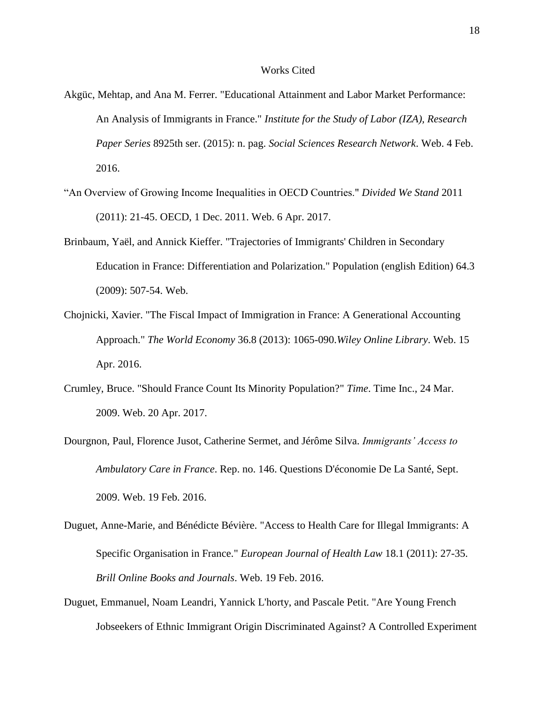## Works Cited

- Akgüc, Mehtap, and Ana M. Ferrer. "Educational Attainment and Labor Market Performance: An Analysis of Immigrants in France." *Institute for the Study of Labor (IZA), Research Paper Series* 8925th ser. (2015): n. pag. *Social Sciences Research Network*. Web. 4 Feb. 2016.
- "An Overview of Growing Income Inequalities in OECD Countries." *Divided We Stand* 2011 (2011): 21-45. OECD, 1 Dec. 2011. Web. 6 Apr. 2017.
- Brinbaum, Yaël, and Annick Kieffer. "Trajectories of Immigrants' Children in Secondary Education in France: Differentiation and Polarization." Population (english Edition) 64.3 (2009): 507-54. Web.
- Chojnicki, Xavier. "The Fiscal Impact of Immigration in France: A Generational Accounting Approach." *The World Economy* 36.8 (2013): 1065-090.*Wiley Online Library*. Web. 15 Apr. 2016.
- Crumley, Bruce. "Should France Count Its Minority Population?" *Time*. Time Inc., 24 Mar. 2009. Web. 20 Apr. 2017.
- Dourgnon, Paul, Florence Jusot, Catherine Sermet, and Jérôme Silva. *Immigrants' Access to Ambulatory Care in France*. Rep. no. 146. Questions D'économie De La Santé, Sept. 2009. Web. 19 Feb. 2016.
- Duguet, Anne-Marie, and Bénédicte Bévière. "Access to Health Care for Illegal Immigrants: A Specific Organisation in France." *European Journal of Health Law* 18.1 (2011): 27-35. *Brill Online Books and Journals*. Web. 19 Feb. 2016.
- Duguet, Emmanuel, Noam Leandri, Yannick L'horty, and Pascale Petit. "Are Young French Jobseekers of Ethnic Immigrant Origin Discriminated Against? A Controlled Experiment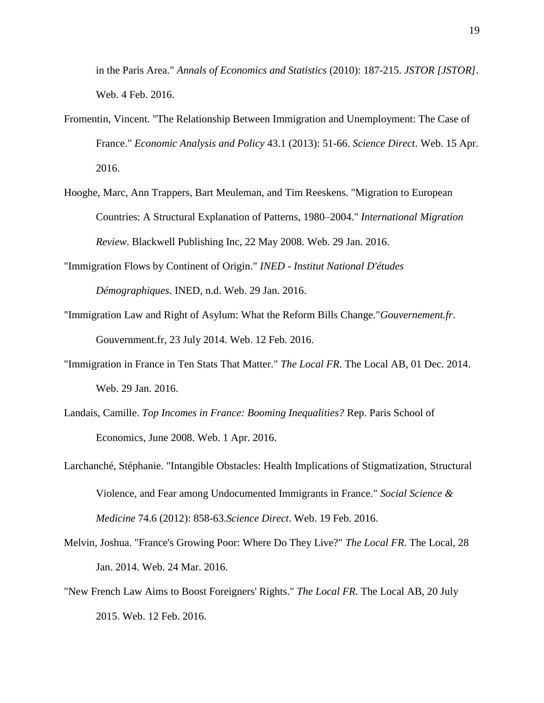in the Paris Area." *Annals of Economics and Statistics* (2010): 187-215. *JSTOR [JSTOR]*. Web. 4 Feb. 2016.

- Fromentin, Vincent. "The Relationship Between Immigration and Unemployment: The Case of France." *Economic Analysis and Policy* 43.1 (2013): 51-66. *Science Direct*. Web. 15 Apr. 2016.
- Hooghe, Marc, Ann Trappers, Bart Meuleman, and Tim Reeskens. "Migration to European Countries: A Structural Explanation of Patterns, 1980–2004." *International Migration Review*. Blackwell Publishing Inc, 22 May 2008. Web. 29 Jan. 2016.
- "Immigration Flows by Continent of Origin." *INED - Institut National D'études Démographiques*. INED, n.d. Web. 29 Jan. 2016.
- "Immigration Law and Right of Asylum: What the Reform Bills Change."*Gouvernement.fr*. Gouvernment.fr, 23 July 2014. Web. 12 Feb. 2016.
- "Immigration in France in Ten Stats That Matter." *The Local FR*. The Local AB, 01 Dec. 2014. Web. 29 Jan. 2016.
- Landais, Camille. *Top Incomes in France: Booming Inequalities?* Rep. Paris School of Economics, June 2008. Web. 1 Apr. 2016.
- Larchanché, Stéphanie. "Intangible Obstacles: Health Implications of Stigmatization, Structural Violence, and Fear among Undocumented Immigrants in France." *Social Science & Medicine* 74.6 (2012): 858-63.*Science Direct*. Web. 19 Feb. 2016.
- Melvin, Joshua. "France's Growing Poor: Where Do They Live?" *The Local FR*. The Local, 28 Jan. 2014. Web. 24 Mar. 2016.
- "New French Law Aims to Boost Foreigners' Rights." *The Local FR*. The Local AB, 20 July 2015. Web. 12 Feb. 2016.